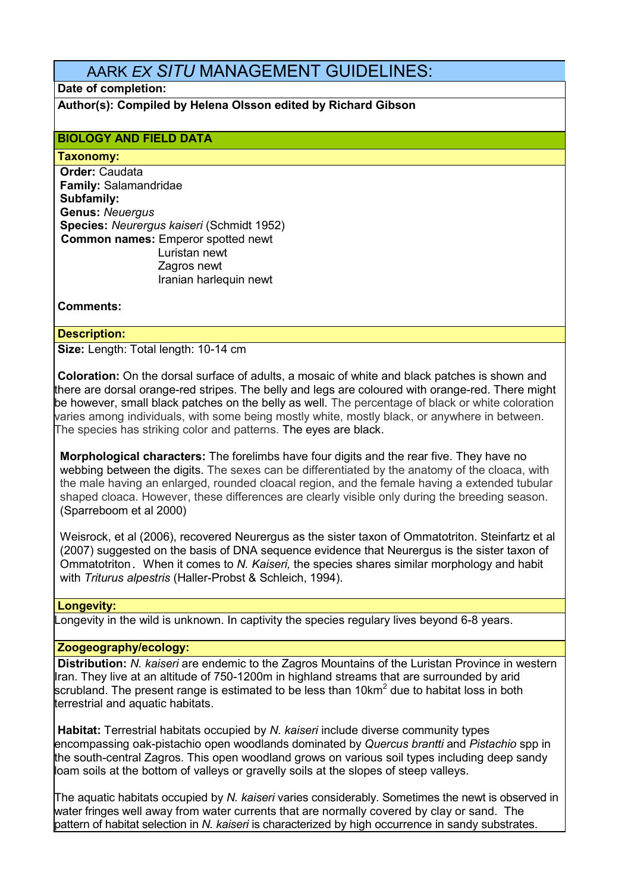# AARK *EX SITU* MANAGEMENT GUIDELINES:

# **Date of completion:**

**Author(s): Compiled by Helena Olsson edited by Richard Gibson**

# **BIOLOGY AND FIELD DATA**

#### **Taxonomy:**

**Order:** Caudata **Family:** Salamandridae **Subfamily: Genus:** *Neuergus* **Species:** *Neurergus kaiseri* (Schmidt 1952)  **Common names:** Emperor spotted newt Luristan newt Zagros newt Iranian harlequin newt

# **Comments:**

# **Description:**

**Size: Length: Total length: 10-14 cm** 

**Coloration:** On the dorsal surface of adults, a mosaic of white and black patches is shown and there are dorsal orange-red stripes. The belly and legs are coloured with orange-red. There might be however, small black patches on the belly as well. The percentage of black or white coloration varies among individuals, with some being mostly white, mostly black, or anywhere in between. The species has striking color and patterns. The eyes are black.

**Morphological characters:** The forelimbs have four digits and the rear five. They have no webbing between the digits. The sexes can be differentiated by the anatomy of the cloaca, with the male having an enlarged, rounded cloacal region, and the female having a extended tubular shaped cloaca. However, these differences are clearly visible only during the breeding season. (Sparreboom et al 2000)

Weisrock, et al (2006), recovered Neurergus as the sister taxon of Ommatotriton. Steinfartz et al (2007) suggested on the basis of DNA sequence evidence that Neurergus is the sister taxon of Ommatotriton. When it comes to *N. Kaiseri,* the species shares similar morphology and habit with *Triturus alpestris* (Haller-Probst & Schleich, 1994).

## **Longevity:**

Longevity in the wild is unknown. In captivity the species regulary lives beyond 6-8 years.

## **Zoogeography/ecology:**

**Distribution:** *N. kaiseri* are endemic to the Zagros Mountains of the Luristan Province in western Iran. They live at an altitude of 750-1200m in highland streams that are surrounded by arid scrubland. The present range is estimated to be less than 10km<sup>2</sup> due to habitat loss in both terrestrial and aquatic habitats.

**Habitat:** Terrestrial habitats occupied by *N. kaiseri* include diverse community types encompassing oak-pistachio open woodlands dominated by *Quercus brantti* and *Pistachio* spp in the south-central Zagros. This open woodland grows on various soil types including deep sandy loam soils at the bottom of valleys or gravelly soils at the slopes of steep valleys.

The aquatic habitats occupied by *N. kaiseri* varies considerably. Sometimes the newt is observed in water fringes well away from water currents that are normally covered by clay or sand. The pattern of habitat selection in *N. kaiseri* is characterized by high occurrence in sandy substrates.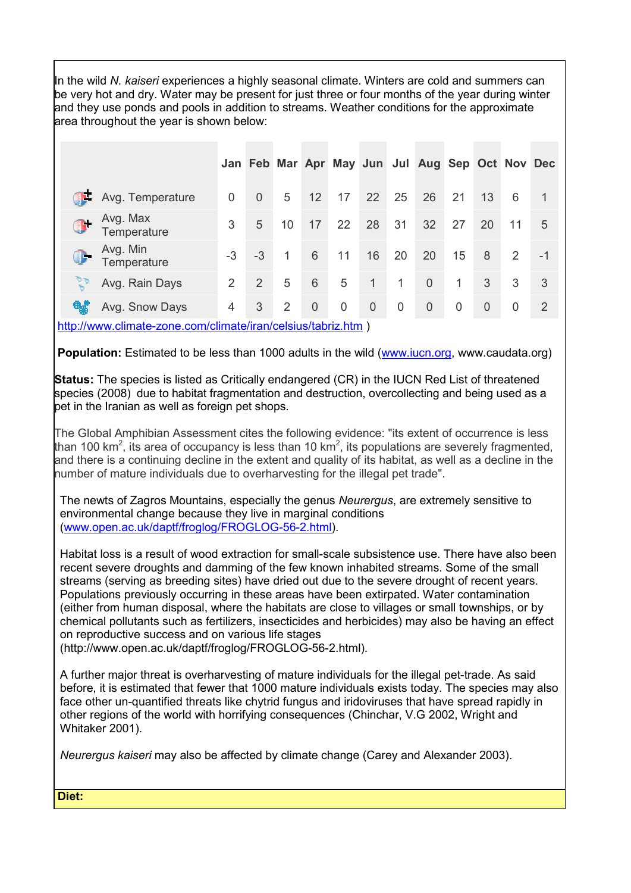In the wild *N. kaiseri* experiences a highly seasonal climate. Winters are cold and summers can be very hot and dry. Water may be present for just three or four months of the year during winter and they use ponds and pools in addition to streams. Weather conditions for the approximate area throughout the year is shown below:

|                                                   |      |                |                |             |             |              |              | Jan Feb Mar Apr May Jun Jul Aug Sep Oct Nov Dec |             |                |                |      |
|---------------------------------------------------|------|----------------|----------------|-------------|-------------|--------------|--------------|-------------------------------------------------|-------------|----------------|----------------|------|
| Æ<br>Avg. Temperature                             | 0    | $\overline{0}$ | 5              | 12          | 17          | 22           | 25           | 26                                              | 21          | 13             | 6              | -1   |
| Avg. Max<br>Temperature                           | 3    | 5              | 10             | 17          | 22          | 28           | 31           | 32                                              | 27          | 20             | 11             | 5    |
| Avg. Min<br>Q.<br>Temperature                     | $-3$ | $-3$           | $\mathbf 1$    | 6           | 11          | 16           | 20           | 20                                              | 15          | 8              | $\overline{2}$ | $-1$ |
| ৃত<br>Avg. Rain Days                              | 2    | 2              | 5              | 6           | 5           | $\mathbf{1}$ | $\mathbf{1}$ | $\overline{0}$                                  | 1           | 3              | 3              | 3    |
| $\mathfrak{g}^*_{\mathfrak{g}}$<br>Avg. Snow Days | 4    | 3              | $\overline{2}$ | $\mathbf 0$ | $\mathbf 0$ | $\theta$     | 0            | $\overline{0}$                                  | $\mathbf 0$ | $\overline{0}$ | 0              | 2    |

http://www.climate-zone.com/climate/iran/celsius/tabriz.htm )

**Population:** Estimated to be less than 1000 adults in the wild (www.iucn.org, www.caudata.org)

**Status:** The species is listed as Critically endangered (CR) in the IUCN Red List of threatened species (2008) due to habitat fragmentation and destruction, overcollecting and being used as a pet in the Iranian as well as foreign pet shops.

The Global Amphibian Assessment cites the following evidence: "its extent of occurrence is less than 100 km<sup>2</sup>, its area of occupancy is less than 10 km<sup>2</sup>, its populations are severely fragmented, and there is a continuing decline in the extent and quality of its habitat, as well as a decline in the number of mature individuals due to overharvesting for the illegal pet trade".

The newts of Zagros Mountains, especially the genus *Neurergus*, are extremely sensitive to environmental change because they live in marginal conditions (www.open.ac.uk/daptf/froglog/FROGLOG-56-2.html).

Habitat loss is a result of wood extraction for small-scale subsistence use. There have also been recent severe droughts and damming of the few known inhabited streams. Some of the small streams (serving as breeding sites) have dried out due to the severe drought of recent years. Populations previously occurring in these areas have been extirpated. Water contamination (either from human disposal, where the habitats are close to villages or small townships, or by chemical pollutants such as fertilizers, insecticides and herbicides) may also be having an effect on reproductive success and on various life stages

(http://www.open.ac.uk/daptf/froglog/FROGLOG-56-2.html).

A further major threat is overharvesting of mature individuals for the illegal pet-trade. As said before, it is estimated that fewer that 1000 mature individuals exists today. The species may also face other un-quantified threats like chytrid fungus and iridoviruses that have spread rapidly in other regions of the world with horrifying consequences (Chinchar, V.G 2002, Wright and Whitaker 2001).

*Neurergus kaiseri* may also be affected by climate change (Carey and Alexander 2003).

**Diet:**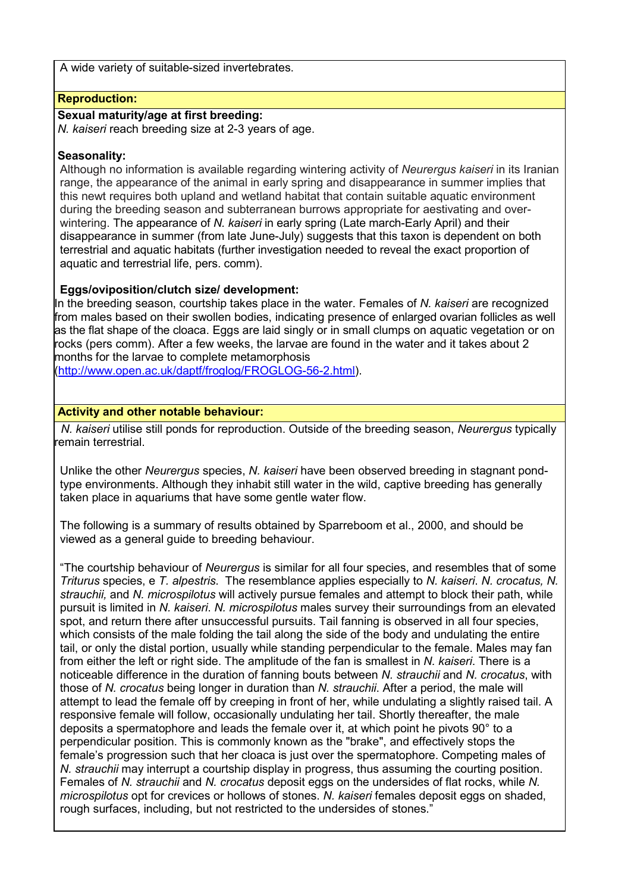A wide variety of suitable-sized invertebrates.

# **Reproduction:**

## **Sexual maturity/age at first breeding:**

*N. kaiseri* reach breeding size at 2-3 years of age.

# **Seasonality:**

Although no information is available regarding wintering activity of *Neurergus kaiseri* in its Iranian range, the appearance of the animal in early spring and disappearance in summer implies that this newt requires both upland and wetland habitat that contain suitable aquatic environment during the breeding season and subterranean burrows appropriate for aestivating and overwintering. The appearance of *N. kaiseri* in early spring (Late march-Early April) and their disappearance in summer (from late June-July) suggests that this taxon is dependent on both terrestrial and aquatic habitats (further investigation needed to reveal the exact proportion of aquatic and terrestrial life, pers. comm).

# **Eggs/oviposition/clutch size/ development:**

In the breeding season, courtship takes place in the water. Females of *N. kaiseri* are recognized from males based on their swollen bodies, indicating presence of enlarged ovarian follicles as well as the flat shape of the cloaca. Eggs are laid singly or in small clumps on aquatic vegetation or on rocks (pers comm). After a few weeks, the larvae are found in the water and it takes about 2 months for the larvae to complete metamorphosis

(http://www.open.ac.uk/daptf/froglog/FROGLOG-56-2.html).

# **Activity and other notable behaviour:**

 *N. kaiseri* utilise still ponds for reproduction. Outside of the breeding season, *Neurergus* typically remain terrestrial.

Unlike the other *Neurergus* species, *N. kaiseri* have been observed breeding in stagnant pondtype environments. Although they inhabit still water in the wild, captive breeding has generally taken place in aquariums that have some gentle water flow.

The following is a summary of results obtained by Sparreboom et al., 2000, and should be viewed as a general guide to breeding behaviour.

"The courtship behaviour of *Neurergus* is similar for all four species, and resembles that of some *Triturus* species, e *T. alpestris*. The resemblance applies especially to *N. kaiseri*. *N. crocatus, N. strauchii,* and *N. microspilotus* will actively pursue females and attempt to block their path, while pursuit is limited in *N. kaiseri*. *N. microspilotus* males survey their surroundings from an elevated spot, and return there after unsuccessful pursuits. Tail fanning is observed in all four species, which consists of the male folding the tail along the side of the body and undulating the entire tail, or only the distal portion, usually while standing perpendicular to the female. Males may fan from either the left or right side. The amplitude of the fan is smallest in *N. kaiseri*. There is a noticeable difference in the duration of fanning bouts between *N. strauchii* and *N. crocatus*, with those of *N. crocatus* being longer in duration than *N. strauchii*. After a period, the male will attempt to lead the female off by creeping in front of her, while undulating a slightly raised tail. A responsive female will follow, occasionally undulating her tail. Shortly thereafter, the male deposits a spermatophore and leads the female over it, at which point he pivots 90° to a perpendicular position. This is commonly known as the "brake", and effectively stops the female's progression such that her cloaca is just over the spermatophore. Competing males of *N. strauchii* may interrupt a courtship display in progress, thus assuming the courting position. Females of *N. strauchii* and *N. crocatus* deposit eggs on the undersides of flat rocks, while *N. microspilotus* opt for crevices or hollows of stones. *N. kaiseri* females deposit eggs on shaded, rough surfaces, including, but not restricted to the undersides of stones."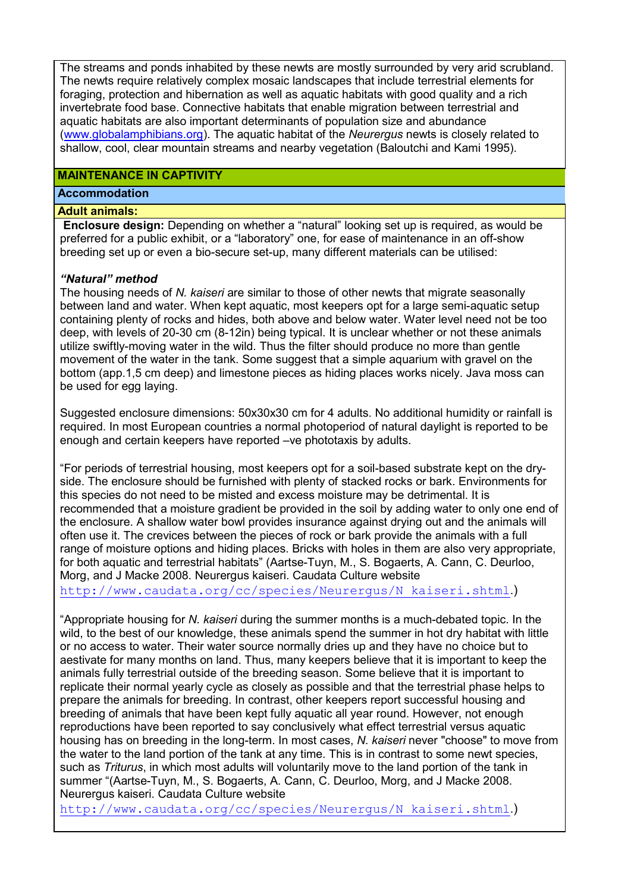The streams and ponds inhabited by these newts are mostly surrounded by very arid scrubland. The newts require relatively complex mosaic landscapes that include terrestrial elements for foraging, protection and hibernation as well as aquatic habitats with good quality and a rich invertebrate food base. Connective habitats that enable migration between terrestrial and aquatic habitats are also important determinants of population size and abundance (www.globalamphibians.org). The aquatic habitat of the *Neurergus* newts is closely related to shallow, cool, clear mountain streams and nearby vegetation (Baloutchi and Kami 1995).

## **MAINTENANCE IN CAPTIVITY**

## **Accommodation**

#### **Adult animals:**

**Enclosure design:** Depending on whether a "natural" looking set up is required, as would be preferred for a public exhibit, or a "laboratory" one, for ease of maintenance in an off-show breeding set up or even a bio-secure set-up, many different materials can be utilised:

## *"Natural" method*

The housing needs of *N. kaiseri* are similar to those of other newts that migrate seasonally between land and water. When kept aquatic, most keepers opt for a large semi-aquatic setup containing plenty of rocks and hides, both above and below water. Water level need not be too deep, with levels of 20-30 cm (8-12in) being typical. It is unclear whether or not these animals utilize swiftly-moving water in the wild. Thus the filter should produce no more than gentle movement of the water in the tank. Some suggest that a simple aquarium with gravel on the bottom (app.1,5 cm deep) and limestone pieces as hiding places works nicely. Java moss can be used for egg laying.

Suggested enclosure dimensions: 50x30x30 cm for 4 adults. No additional humidity or rainfall is required. In most European countries a normal photoperiod of natural daylight is reported to be enough and certain keepers have reported –ve phototaxis by adults.

"For periods of terrestrial housing, most keepers opt for a soil-based substrate kept on the dryside. The enclosure should be furnished with plenty of stacked rocks or bark. Environments for this species do not need to be misted and excess moisture may be detrimental. It is recommended that a moisture gradient be provided in the soil by adding water to only one end of the enclosure. A shallow water bowl provides insurance against drying out and the animals will often use it. The crevices between the pieces of rock or bark provide the animals with a full range of moisture options and hiding places. Bricks with holes in them are also very appropriate, for both aquatic and terrestrial habitats" (Aartse-Tuyn, M., S. Bogaerts, A. Cann, C. Deurloo, Morg, and J Macke 2008. Neurergus kaiseri. Caudata Culture website

http://www.caudata.org/cc/species/Neurergus/N\_kaiseri.shtml.)

"Appropriate housing for *N. kaiseri* during the summer months is a much-debated topic. In the wild, to the best of our knowledge, these animals spend the summer in hot dry habitat with little or no access to water. Their water source normally dries up and they have no choice but to aestivate for many months on land. Thus, many keepers believe that it is important to keep the animals fully terrestrial outside of the breeding season. Some believe that it is important to replicate their normal yearly cycle as closely as possible and that the terrestrial phase helps to prepare the animals for breeding. In contrast, other keepers report successful housing and breeding of animals that have been kept fully aquatic all year round. However, not enough reproductions have been reported to say conclusively what effect terrestrial versus aquatic housing has on breeding in the long-term. In most cases, *N. kaiseri* never "choose" to move from the water to the land portion of the tank at any time. This is in contrast to some newt species, such as *Triturus*, in which most adults will voluntarily move to the land portion of the tank in summer "(Aartse-Tuyn, M., S. Bogaerts, A. Cann, C. Deurloo, Morg, and J Macke 2008. Neurergus kaiseri. Caudata Culture website

http://www.caudata.org/cc/species/Neurergus/N\_kaiseri.shtml.)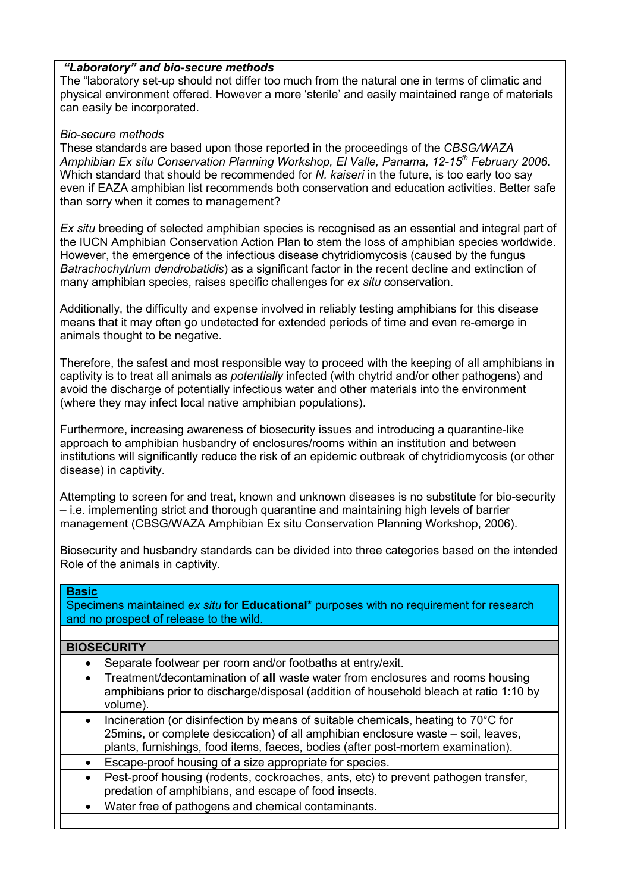# *"Laboratory" and bio-secure methods*

The "laboratory set-up should not differ too much from the natural one in terms of climatic and physical environment offered. However a more 'sterile' and easily maintained range of materials can easily be incorporated.

#### *Bio-secure methods*

These standards are based upon those reported in the proceedings of the *CBSG/WAZA Amphibian Ex situ Conservation Planning Workshop, El Valle, Panama, 12-15th February 2006*. Which standard that should be recommended for *N. kaiseri* in the future, is too early too say even if EAZA amphibian list recommends both conservation and education activities. Better safe than sorry when it comes to management?

*Ex situ* breeding of selected amphibian species is recognised as an essential and integral part of the IUCN Amphibian Conservation Action Plan to stem the loss of amphibian species worldwide. However, the emergence of the infectious disease chytridiomycosis (caused by the fungus *Batrachochytrium dendrobatidis*) as a significant factor in the recent decline and extinction of many amphibian species, raises specific challenges for *ex situ* conservation.

Additionally, the difficulty and expense involved in reliably testing amphibians for this disease means that it may often go undetected for extended periods of time and even re-emerge in animals thought to be negative.

Therefore, the safest and most responsible way to proceed with the keeping of all amphibians in captivity is to treat all animals as *potentially* infected (with chytrid and/or other pathogens) and avoid the discharge of potentially infectious water and other materials into the environment (where they may infect local native amphibian populations).

Furthermore, increasing awareness of biosecurity issues and introducing a quarantine-like approach to amphibian husbandry of enclosures/rooms within an institution and between institutions will significantly reduce the risk of an epidemic outbreak of chytridiomycosis (or other disease) in captivity.

Attempting to screen for and treat, known and unknown diseases is no substitute for bio-security – i.e. implementing strict and thorough quarantine and maintaining high levels of barrier management (CBSG/WAZA Amphibian Ex situ Conservation Planning Workshop, 2006).

Biosecurity and husbandry standards can be divided into three categories based on the intended Role of the animals in captivity.

## **Basic**

Specimens maintained *ex situ* for **Educational\*** purposes with no requirement for research and no prospect of release to the wild.

## **BIOSECURITY**

- Separate footwear per room and/or footbaths at entry/exit.
- Treatment/decontamination of **all** waste water from enclosures and rooms housing amphibians prior to discharge/disposal (addition of household bleach at ratio 1:10 by volume).
- Incineration (or disinfection by means of suitable chemicals, heating to 70°C for 25mins, or complete desiccation) of all amphibian enclosure waste – soil, leaves, plants, furnishings, food items, faeces, bodies (after post-mortem examination).
- Escape-proof housing of a size appropriate for species.
- Pest-proof housing (rodents, cockroaches, ants, etc) to prevent pathogen transfer, predation of amphibians, and escape of food insects.
- Water free of pathogens and chemical contaminants.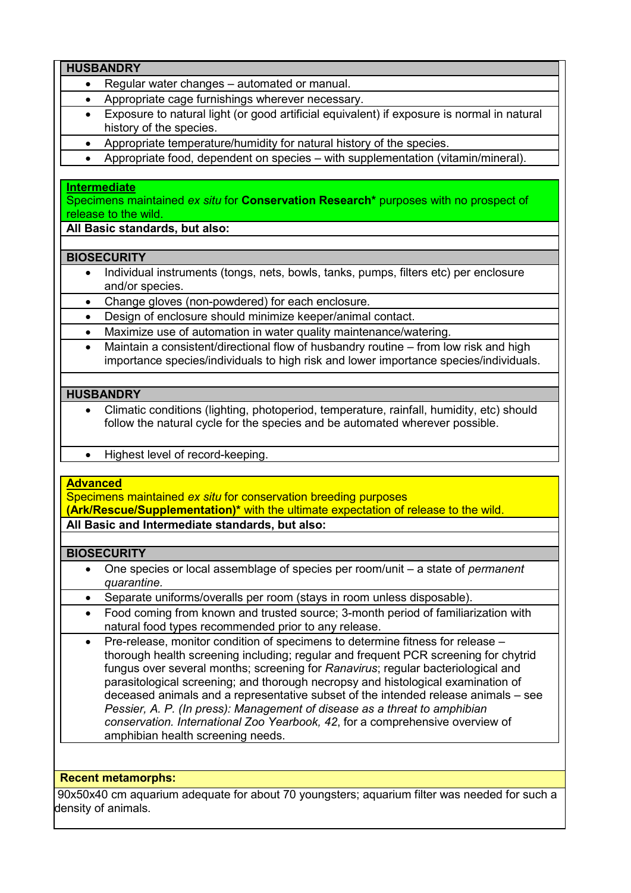|                 | <b>HUSBANDRY</b>                                                                                                                                                         |
|-----------------|--------------------------------------------------------------------------------------------------------------------------------------------------------------------------|
| $\bullet$       | Regular water changes - automated or manual.                                                                                                                             |
| $\bullet$       | Appropriate cage furnishings wherever necessary.                                                                                                                         |
| $\bullet$       | Exposure to natural light (or good artificial equivalent) if exposure is normal in natural                                                                               |
|                 | history of the species.                                                                                                                                                  |
| $\bullet$       | Appropriate temperature/humidity for natural history of the species.                                                                                                     |
| $\bullet$       | Appropriate food, dependent on species - with supplementation (vitamin/mineral).                                                                                         |
|                 |                                                                                                                                                                          |
|                 | <b>Intermediate</b>                                                                                                                                                      |
|                 | Specimens maintained ex situ for Conservation Research <sup>*</sup> purposes with no prospect of<br>release to the wild.                                                 |
|                 | All Basic standards, but also:                                                                                                                                           |
|                 | <b>BIOSECURITY</b>                                                                                                                                                       |
|                 | Individual instruments (tongs, nets, bowls, tanks, pumps, filters etc) per enclosure<br>and/or species.                                                                  |
| $\bullet$       | Change gloves (non-powdered) for each enclosure.                                                                                                                         |
| $\bullet$       | Design of enclosure should minimize keeper/animal contact.                                                                                                               |
| $\bullet$       | Maximize use of automation in water quality maintenance/watering.                                                                                                        |
| $\bullet$       | Maintain a consistent/directional flow of husbandry routine - from low risk and high                                                                                     |
|                 | importance species/individuals to high risk and lower importance species/individuals.                                                                                    |
|                 |                                                                                                                                                                          |
|                 | <b>HUSBANDRY</b>                                                                                                                                                         |
|                 |                                                                                                                                                                          |
| $\bullet$       | Climatic conditions (lighting, photoperiod, temperature, rainfall, humidity, etc) should<br>follow the natural cycle for the species and be automated wherever possible. |
| $\bullet$       | Highest level of record-keeping.                                                                                                                                         |
|                 |                                                                                                                                                                          |
| <b>Advanced</b> |                                                                                                                                                                          |
|                 | Specimens maintained ex situ for conservation breeding purposes                                                                                                          |
|                 | (Ark/Rescue/Supplementation)* with the ultimate expectation of release to the wild.                                                                                      |
|                 | All Basic and Intermediate standards, but also:                                                                                                                          |
|                 |                                                                                                                                                                          |
|                 | <b>BIOSECURITY</b>                                                                                                                                                       |
|                 | One species or local assemblage of species per room/unit - a state of permanent<br>quarantine.                                                                           |
| $\bullet$       | Separate uniforms/overalls per room (stays in room unless disposable).                                                                                                   |
| $\bullet$       | Food coming from known and trusted source; 3-month period of familiarization with                                                                                        |
|                 | natural food types recommended prior to any release.                                                                                                                     |
| $\bullet$       | Pre-release, monitor condition of specimens to determine fitness for release -                                                                                           |
|                 | thorough health screening including; regular and frequent PCR screening for chytrid                                                                                      |
|                 | fungus over several months; screening for Ranavirus; regular bacteriological and                                                                                         |
|                 | parasitological screening; and thorough necropsy and histological examination of                                                                                         |
|                 | deceased animals and a representative subset of the intended release animals – see                                                                                       |
|                 | Pessier, A. P. (In press): Management of disease as a threat to amphibian                                                                                                |
|                 | conservation. International Zoo Yearbook, 42, for a comprehensive overview of                                                                                            |
|                 | amphibian health screening needs.                                                                                                                                        |
|                 |                                                                                                                                                                          |
|                 |                                                                                                                                                                          |
|                 |                                                                                                                                                                          |
|                 | <b>Recent metamorphs:</b><br>90x50x40 cm aquarium adequate for about 70 youngsters; aquarium filter was needed for such a                                                |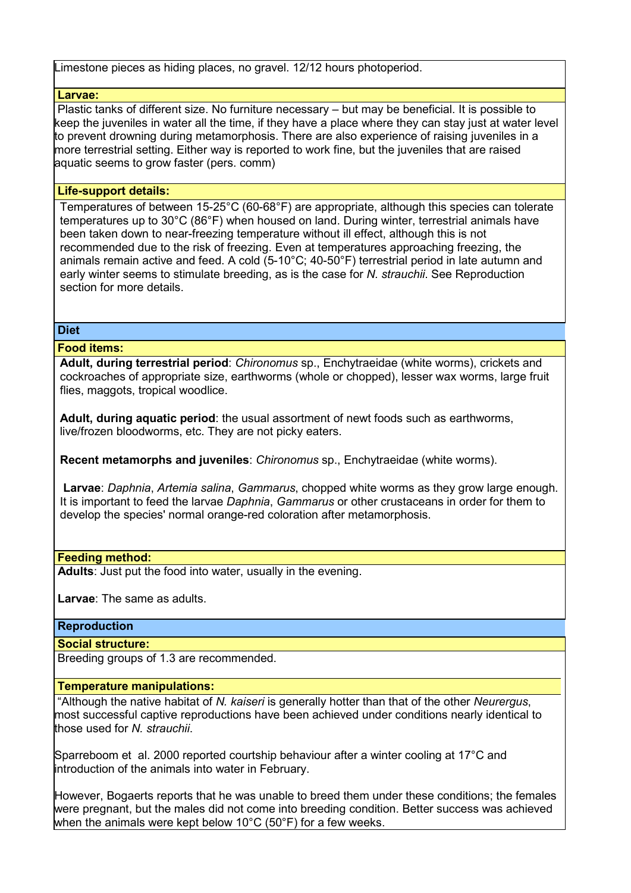Limestone pieces as hiding places, no gravel. 12/12 hours photoperiod.

#### **Larvae:**

Plastic tanks of different size. No furniture necessary – but may be beneficial. It is possible to keep the juveniles in water all the time, if they have a place where they can stay just at water level to prevent drowning during metamorphosis. There are also experience of raising juveniles in a more terrestrial setting. Either way is reported to work fine, but the juveniles that are raised aquatic seems to grow faster (pers. comm)

## **Life-support details:**

Temperatures of between 15-25°C (60-68°F) are appropriate, although this species can tolerate temperatures up to 30°C (86°F) when housed on land. During winter, terrestrial animals have been taken down to near-freezing temperature without ill effect, although this is not recommended due to the risk of freezing. Even at temperatures approaching freezing, the animals remain active and feed. A cold (5-10°C; 40-50°F) terrestrial period in late autumn and early winter seems to stimulate breeding, as is the case for *N. strauchii*. See Reproduction section for more details.

#### **Diet**

#### **Food items:**

**Adult, during terrestrial period**: *Chironomus* sp., Enchytraeidae (white worms), crickets and cockroaches of appropriate size, earthworms (whole or chopped), lesser wax worms, large fruit flies, maggots, tropical woodlice.

**Adult, during aquatic period**: the usual assortment of newt foods such as earthworms, live/frozen bloodworms, etc. They are not picky eaters.

**Recent metamorphs and juveniles**: *Chironomus* sp., Enchytraeidae (white worms).

**Larvae**: *Daphnia*, *Artemia salina*, *Gammarus*, chopped white worms as they grow large enough. It is important to feed the larvae *Daphnia*, *Gammarus* or other crustaceans in order for them to develop the species' normal orange-red coloration after metamorphosis.

#### **Feeding method:**

**Adults**: Just put the food into water, usually in the evening.

**Larvae**: The same as adults.

## **Reproduction**

**Social structure:**

Breeding groups of 1.3 are recommended.

#### **Temperature manipulations:**

"Although the native habitat of *N. kaiseri* is generally hotter than that of the other *Neurergus*, most successful captive reproductions have been achieved under conditions nearly identical to those used for *N. strauchii*.

Sparreboom et al. 2000 reported courtship behaviour after a winter cooling at 17°C and introduction of the animals into water in February.

However, Bogaerts reports that he was unable to breed them under these conditions; the females were pregnant, but the males did not come into breeding condition. Better success was achieved when the animals were kept below 10°C (50°F) for a few weeks.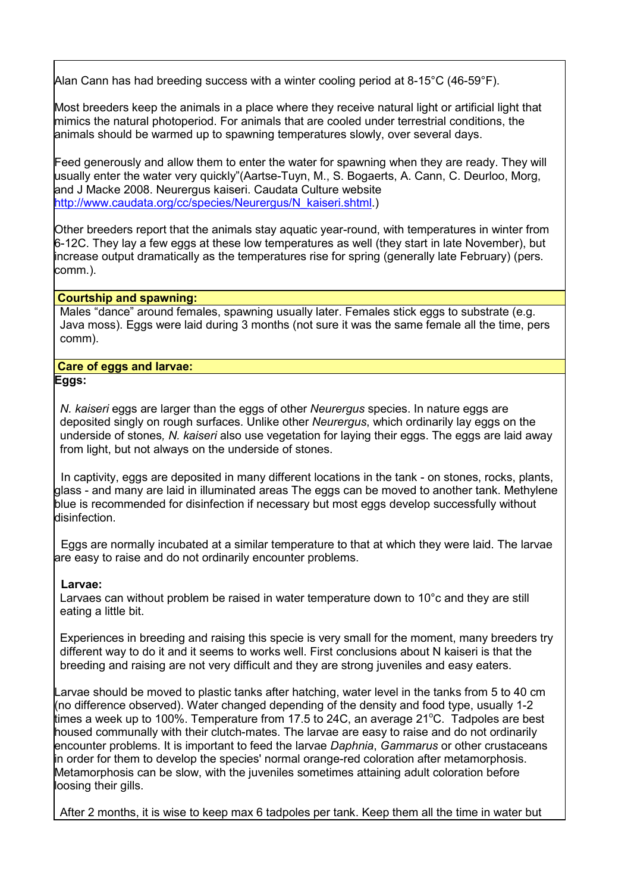Alan Cann has had breeding success with a winter cooling period at 8-15°C (46-59°F).

Most breeders keep the animals in a place where they receive natural light or artificial light that mimics the natural photoperiod. For animals that are cooled under terrestrial conditions, the animals should be warmed up to spawning temperatures slowly, over several days.

Feed generously and allow them to enter the water for spawning when they are ready. They will usually enter the water very quickly"(Aartse-Tuyn, M., S. Bogaerts, A. Cann, C. Deurloo, Morg, and J Macke 2008. Neurergus kaiseri. Caudata Culture website http://www.caudata.org/cc/species/Neurergus/N\_kaiseri.shtml.)

Other breeders report that the animals stay aquatic year-round, with temperatures in winter from 6-12C. They lay a few eggs at these low temperatures as well (they start in late November), but increase output dramatically as the temperatures rise for spring (generally late February) (pers. comm.).

#### **Courtship and spawning:**

Males "dance" around females, spawning usually later. Females stick eggs to substrate (e.g. Java moss). Eggs were laid during 3 months (not sure it was the same female all the time, pers comm).

#### **Care of eggs and larvae: Eggs:**

*N. kaiseri* eggs are larger than the eggs of other *Neurergus* species. In nature eggs are deposited singly on rough surfaces. Unlike other *Neurergus*, which ordinarily lay eggs on the underside of stones*, N. kaiseri* also use vegetation for laying their eggs. The eggs are laid away from light, but not always on the underside of stones.

 In captivity, eggs are deposited in many different locations in the tank - on stones, rocks, plants, glass - and many are laid in illuminated areas The eggs can be moved to another tank. Methylene blue is recommended for disinfection if necessary but most eggs develop successfully without disinfection.

 Eggs are normally incubated at a similar temperature to that at which they were laid. The larvae are easy to raise and do not ordinarily encounter problems.

## **Larvae:**

Larvaes can without problem be raised in water temperature down to 10°c and they are still eating a little bit.

Experiences in breeding and raising this specie is very small for the moment, many breeders try different way to do it and it seems to works well. First conclusions about N kaiseri is that the breeding and raising are not very difficult and they are strong juveniles and easy eaters.

Larvae should be moved to plastic tanks after hatching, water level in the tanks from 5 to 40 cm (no difference observed). Water changed depending of the density and food type, usually 1-2 times a week up to 100%. Temperature from 17.5 to 24C, an average 21 $^{\circ}$ C. Tadpoles are best housed communally with their clutch-mates. The larvae are easy to raise and do not ordinarily encounter problems. It is important to feed the larvae *Daphnia*, *Gammarus* or other crustaceans in order for them to develop the species' normal orange-red coloration after metamorphosis. Metamorphosis can be slow, with the juveniles sometimes attaining adult coloration before loosing their gills.

After 2 months, it is wise to keep max 6 tadpoles per tank. Keep them all the time in water but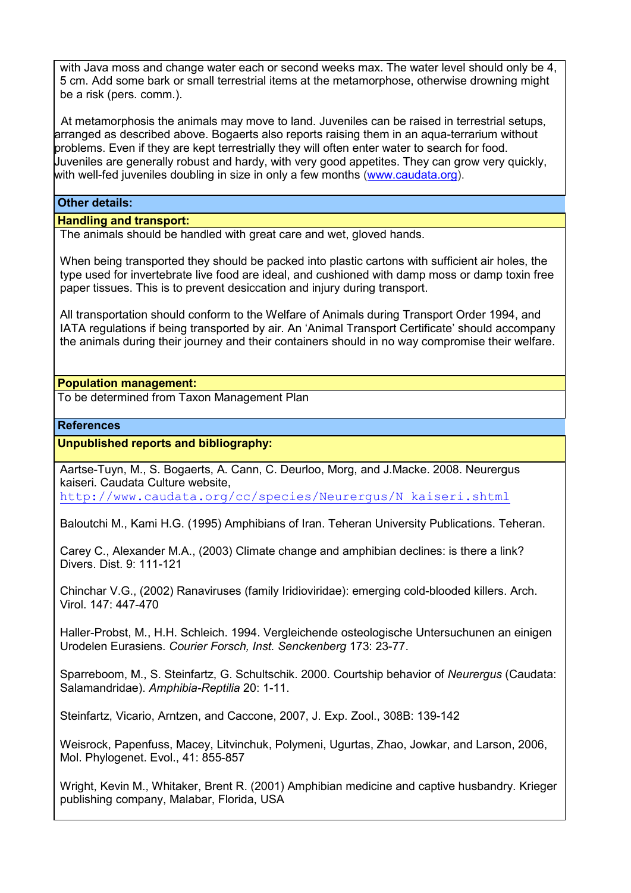with Java moss and change water each or second weeks max. The water level should only be 4, 5 cm. Add some bark or small terrestrial items at the metamorphose, otherwise drowning might be a risk (pers. comm.).

 At metamorphosis the animals may move to land. Juveniles can be raised in terrestrial setups, arranged as described above. Bogaerts also reports raising them in an aqua-terrarium without problems. Even if they are kept terrestrially they will often enter water to search for food. Juveniles are generally robust and hardy, with very good appetites. They can grow very quickly, with well-fed juveniles doubling in size in only a few months (www.caudata.org).

#### **Other details:**

#### **Handling and transport:**

The animals should be handled with great care and wet, gloved hands.

When being transported they should be packed into plastic cartons with sufficient air holes, the type used for invertebrate live food are ideal, and cushioned with damp moss or damp toxin free paper tissues. This is to prevent desiccation and injury during transport.

All transportation should conform to the Welfare of Animals during Transport Order 1994, and IATA regulations if being transported by air. An 'Animal Transport Certificate' should accompany the animals during their journey and their containers should in no way compromise their welfare.

#### **Population management:**

To be determined from Taxon Management Plan

#### **References**

## **Unpublished reports and bibliography:**

Aartse-Tuyn, M., S. Bogaerts, A. Cann, C. Deurloo, Morg, and J.Macke. 2008. Neurergus kaiseri. Caudata Culture website,

http://www.caudata.org/cc/species/Neurergus/N\_kaiseri.shtml

Baloutchi M., Kami H.G. (1995) Amphibians of Iran. Teheran University Publications. Teheran.

Carey C., Alexander M.A., (2003) Climate change and amphibian declines: is there a link? Divers. Dist. 9: 111-121

Chinchar V.G., (2002) Ranaviruses (family Iridioviridae): emerging cold-blooded killers. Arch. Virol. 147: 447-470

Haller-Probst, M., H.H. Schleich. 1994. Vergleichende osteologische Untersuchunen an einigen Urodelen Eurasiens. *Courier Forsch, Inst. Senckenberg* 173: 23-77.

Sparreboom, M., S. Steinfartz, G. Schultschik. 2000. Courtship behavior of *Neurergus* (Caudata: Salamandridae). *Amphibia-Reptilia* 20: 1-11.

Steinfartz, Vicario, Arntzen, and Caccone, 2007, J. Exp. Zool., 308B: 139-142

Weisrock, Papenfuss, Macey, Litvinchuk, Polymeni, Ugurtas, Zhao, Jowkar, and Larson, 2006, Mol. Phylogenet. Evol., 41: 855-857

Wright, Kevin M., Whitaker, Brent R. (2001) Amphibian medicine and captive husbandry. Krieger publishing company, Malabar, Florida, USA